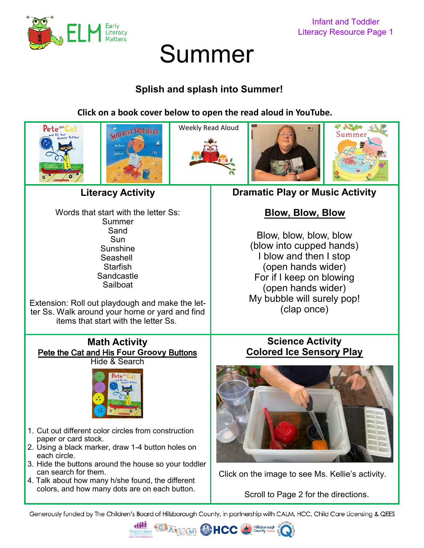

# Summer

## **Splish and splash into Summer!**

**Click on a book cover below to open the read aloud in YouTube.** 



Words that start with the letter Ss: Summer Sand **Sun** Sunshine Seashell **Starfish Sandcastle** Sailboat

Extension: Roll out playdough and make the letter Ss. Walk around your home or yard and find items that start with the letter Ss.

#### **Math Activity** [Pete the Cat and His](https://youtu.be/pTA1D0schWk) **Four Groovy** Buttons Hide & Search



- 1. Cut out different color circles from construction paper or card stock.
- 2. Using a black marker, draw 1-4 button holes on each circle.
- 3. Hide the buttons around the house so your toddler can search for them.
- 4. Talk about how many h/she found, the different colors, and how many dots are on each button.

## **[Blow, Blow, Blow](https://youtu.be/YvgFLZs0apU)**

Blow, blow, blow, blow (blow into cupped hands) I blow and then I stop (open hands wider) For if I keep on blowing (open hands wider) My bubble will surely pop! (clap once)

### **Science Activity [Colored Ice Sensory Play](https://youtu.be/Y23LHwrLtc8)**



[Click on the image to see Ms. Kellie](https://youtu.be/Y23LHwrLtc8)'s activity.

Scroll to Page 2 for the directions.

Generously funded by The Children's Board of Hillsborough County, in partnership with CALM, HCC, Child Care Licensing & QEES